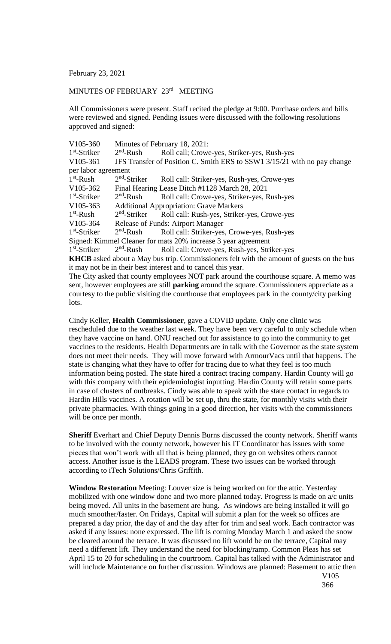February 23, 2021

## MINUTES OF FEBRUARY 23<sup>rd</sup> MEETING

All Commissioners were present. Staff recited the pledge at 9:00. Purchase orders and bills were reviewed and signed. Pending issues were discussed with the following resolutions approved and signed:

| V105-360                                                                                      | Minutes of February 18, 2021:                  |                                                                                            |
|-----------------------------------------------------------------------------------------------|------------------------------------------------|--------------------------------------------------------------------------------------------|
| $1st$ -Striker                                                                                | $2nd$ -Rush                                    | Roll call; Crowe-yes, Striker-yes, Rush-yes                                                |
| V105-361                                                                                      |                                                | JFS Transfer of Position C. Smith ERS to SSW1 3/15/21 with no pay change                   |
| per labor agreement                                                                           |                                                |                                                                                            |
| $1st$ -Rush                                                                                   |                                                | 2 <sup>nd</sup> -Striker Roll call: Striker-yes, Rush-yes, Crowe-yes                       |
| V105-362                                                                                      | Final Hearing Lease Ditch #1128 March 28, 2021 |                                                                                            |
| $1st$ -Striker                                                                                | $2nd$ -Rush                                    | Roll call: Crowe-yes, Striker-yes, Rush-yes                                                |
| $V105-363$                                                                                    | <b>Additional Appropriation: Grave Markers</b> |                                                                                            |
| $1st$ -Rush                                                                                   | $2nd$ -Striker                                 | Roll call: Rush-yes, Striker-yes, Crowe-yes                                                |
| V105-364                                                                                      | Release of Funds: Airport Manager              |                                                                                            |
| $1st$ -Striker                                                                                | $2nd$ -Rush                                    | Roll call: Striker-yes, Crowe-yes, Rush-yes                                                |
|                                                                                               |                                                | Signed: Kimmel Cleaner for mats 20% increase 3 year agreement                              |
| $1st$ -Striker                                                                                |                                                | 2 <sup>nd</sup> -Rush Roll call: Crowe-yes, Rush-yes, Striker-yes                          |
|                                                                                               |                                                | KHCB asked about a May bus trip. Commissioners felt with the amount of guests on the bus   |
|                                                                                               |                                                | it may not be in their best interest and to cancel this year.                              |
|                                                                                               |                                                | The City asked that county employees NOT park around the courthouse square. A memo was     |
|                                                                                               |                                                | sent, however employees are still parking around the square. Commissioners appreciate as a |
| courtesy to the public visiting the courthouse that employees park in the county/city parking |                                                |                                                                                            |
| lots.                                                                                         |                                                |                                                                                            |

Cindy Keller, **Health Commissioner**, gave a COVID update. Only one clinic was rescheduled due to the weather last week. They have been very careful to only schedule when they have vaccine on hand. ONU reached out for assistance to go into the community to get vaccines to the residents. Health Departments are in talk with the Governor as the state system does not meet their needs. They will move forward with ArmourVacs until that happens. The state is changing what they have to offer for tracing due to what they feel is too much information being posted. The state hired a contract tracing company. Hardin County will go with this company with their epidemiologist inputting. Hardin County will retain some parts in case of clusters of outbreaks. Cindy was able to speak with the state contact in regards to Hardin Hills vaccines. A rotation will be set up, thru the state, for monthly visits with their private pharmacies. With things going in a good direction, her visits with the commissioners will be once per month.

**Sheriff** Everhart and Chief Deputy Dennis Burns discussed the county network. Sheriff wants to be involved with the county network, however his IT Coordinator has issues with some pieces that won't work with all that is being planned, they go on websites others cannot access. Another issue is the LEADS program. These two issues can be worked through according to iTech Solutions/Chris Griffith.

**Window Restoration** Meeting: Louver size is being worked on for the attic. Yesterday mobilized with one window done and two more planned today. Progress is made on a/c units being moved. All units in the basement are hung. As windows are being installed it will go much smoother/faster. On Fridays, Capital will submit a plan for the week so offices are prepared a day prior, the day of and the day after for trim and seal work. Each contractor was asked if any issues: none expressed. The lift is coming Monday March 1 and asked the snow be cleared around the terrace. It was discussed no lift would be on the terrace, Capital may need a different lift. They understand the need for blocking/ramp. Common Pleas has set April 15 to 20 for scheduling in the courtroom. Capital has talked with the Administrator and will include Maintenance on further discussion. Windows are planned: Basement to attic then

V105 366